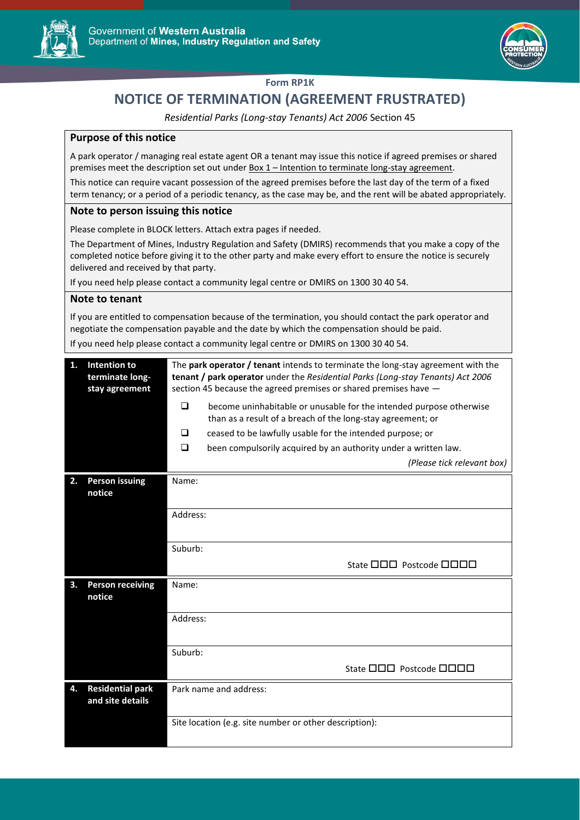



## **Form RP1K**

# **NOTICE OF TERMINATION (AGREEMENT FRUSTRATED)**

*Residential Parks (Long-stay Tenants) Act 2006* Section 45

## **Purpose of this notice**

A park operator / managing real estate agent OR a tenant may issue this notice if agreed premises or shared premises meet the description set out under Box 1 – Intention to terminate long-stay agreement.

This notice can require vacant possession of the agreed premises before the last day of the term of a fixed term tenancy; or a period of a periodic tenancy, as the case may be, and the rent will be abated appropriately.

### **Note to person issuing this notice**

Please complete in BLOCK letters. Attach extra pages if needed.

The Department of Mines, Industry Regulation and Safety (DMIRS) recommends that you make a copy of the completed notice before giving it to the other party and make every effort to ensure the notice is securely delivered and received by that party.

If you need help please contact a community legal centre or DMIRS on 1300 30 40 54.

#### **Note to tenant**

If you are entitled to compensation because of the termination, you should contact the park operator and negotiate the compensation payable and the date by which the compensation should be paid.

If you need help please contact a community legal centre or DMIRS on 1300 30 40 54.

| 1. | Intention to<br>terminate long-<br>stay agreement | The park operator / tenant intends to terminate the long-stay agreement with the<br>tenant / park operator under the Residential Parks (Long-stay Tenants) Act 2006<br>section 45 because the agreed premises or shared premises have - |                                                                                                                                    |  |  |
|----|---------------------------------------------------|-----------------------------------------------------------------------------------------------------------------------------------------------------------------------------------------------------------------------------------------|------------------------------------------------------------------------------------------------------------------------------------|--|--|
|    |                                                   | <b>□</b>                                                                                                                                                                                                                                | become uninhabitable or unusable for the intended purpose otherwise<br>than as a result of a breach of the long-stay agreement; or |  |  |
|    |                                                   | ❏                                                                                                                                                                                                                                       | ceased to be lawfully usable for the intended purpose; or                                                                          |  |  |
|    |                                                   | □                                                                                                                                                                                                                                       | been compulsorily acquired by an authority under a written law.                                                                    |  |  |
|    |                                                   |                                                                                                                                                                                                                                         | (Please tick relevant box)                                                                                                         |  |  |
| 2. | <b>Person issuing</b><br>notice                   | Name:                                                                                                                                                                                                                                   |                                                                                                                                    |  |  |
|    |                                                   | Address:                                                                                                                                                                                                                                |                                                                                                                                    |  |  |
|    |                                                   | Suburb:                                                                                                                                                                                                                                 |                                                                                                                                    |  |  |
|    |                                                   |                                                                                                                                                                                                                                         | State 000 Postcode 0000                                                                                                            |  |  |
| 3. | <b>Person receiving</b><br>notice                 | Name:                                                                                                                                                                                                                                   |                                                                                                                                    |  |  |
|    |                                                   | Address:                                                                                                                                                                                                                                |                                                                                                                                    |  |  |
|    |                                                   | Suburb:                                                                                                                                                                                                                                 |                                                                                                                                    |  |  |
|    |                                                   |                                                                                                                                                                                                                                         | State <b>ODD</b> Postcode <b>ODDD</b>                                                                                              |  |  |
| 4. | <b>Residential park</b><br>and site details       |                                                                                                                                                                                                                                         | Park name and address:                                                                                                             |  |  |
|    |                                                   | Site location (e.g. site number or other description):                                                                                                                                                                                  |                                                                                                                                    |  |  |